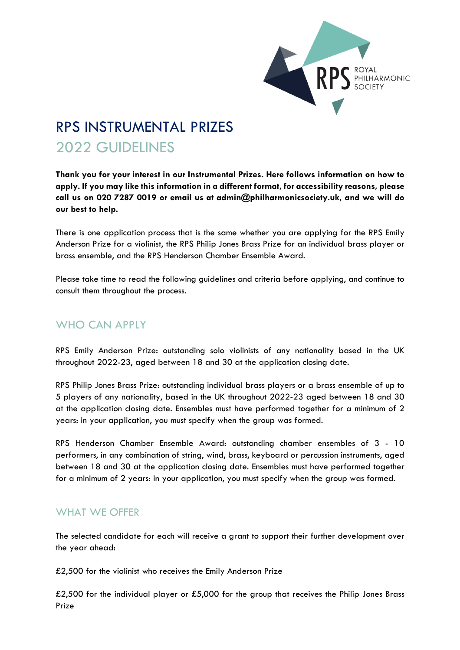

# RPS INSTRUMENTAL PRIZES 2022 GUIDELINES

**Thank you for your interest in our Instrumental Prizes. Here follows information on how to apply. If you may like this information in a different format, for accessibility reasons, please call us on 020 7287 0019 or email us at admin@philharmonicsociety.uk, and we will do our best to help.**

There is one application process that is the same whether you are applying for the RPS Emily Anderson Prize for a violinist, the RPS Philip Jones Brass Prize for an individual brass player or brass ensemble, and the RPS Henderson Chamber Ensemble Award.

Please take time to read the following guidelines and criteria before applying, and continue to consult them throughout the process.

## WHO CAN APPLY

RPS Emily Anderson Prize: outstanding solo violinists of any nationality based in the UK throughout 2022-23, aged between 18 and 30 at the application closing date.

RPS Philip Jones Brass Prize: outstanding individual brass players or a brass ensemble of up to 5 players of any nationality, based in the UK throughout 2022-23 aged between 18 and 30 at the application closing date. Ensembles must have performed together for a minimum of 2 years: in your application, you must specify when the group was formed.

RPS Henderson Chamber Ensemble Award: outstanding chamber ensembles of 3 - 10 performers, in any combination of string, wind, brass, keyboard or percussion instruments, aged between 18 and 30 at the application closing date. Ensembles must have performed together for a minimum of 2 years: in your application, you must specify when the group was formed.

## WHAT WE OFFER

The selected candidate for each will receive a grant to support their further development over the year ahead:

£2,500 for the violinist who receives the Emily Anderson Prize

£2,500 for the individual player or £5,000 for the group that receives the Philip Jones Brass Prize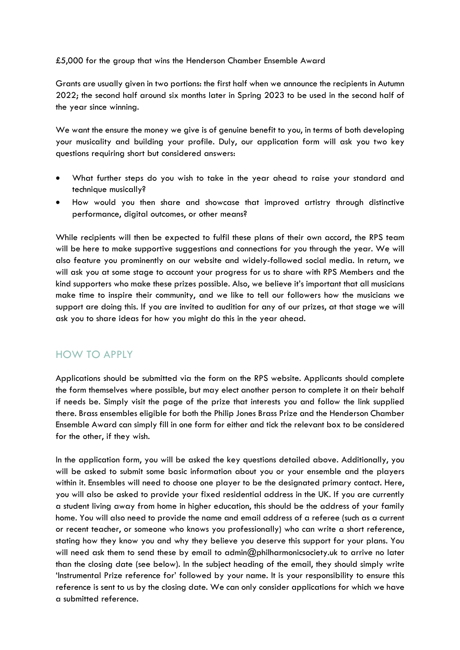#### £5,000 for the group that wins the Henderson Chamber Ensemble Award

Grants are usually given in two portions: the first half when we announce the recipients in Autumn 2022; the second half around six months later in Spring 2023 to be used in the second half of the year since winning.

We want the ensure the money we give is of genuine benefit to you, in terms of both developing your musicality and building your profile. Duly, our application form will ask you two key questions requiring short but considered answers:

- What further steps do you wish to take in the year ahead to raise your standard and technique musically?
- How would you then share and showcase that improved artistry through distinctive performance, digital outcomes, or other means?

While recipients will then be expected to fulfil these plans of their own accord, the RPS team will be here to make supportive suggestions and connections for you through the year. We will also feature you prominently on our website and widely-followed social media. In return, we will ask you at some stage to account your progress for us to share with RPS Members and the kind supporters who make these prizes possible. Also, we believe it's important that all musicians make time to inspire their community, and we like to tell our followers how the musicians we support are doing this. If you are invited to audition for any of our prizes, at that stage we will ask you to share ideas for how you might do this in the year ahead.

## HOW TO APPLY

Applications should be submitted via the form on the RPS website. Applicants should complete the form themselves where possible, but may elect another person to complete it on their behalf if needs be. Simply visit the page of the prize that interests you and follow the link supplied there. Brass ensembles eligible for both the Philip Jones Brass Prize and the Henderson Chamber Ensemble Award can simply fill in one form for either and tick the relevant box to be considered for the other, if they wish.

In the application form, you will be asked the key questions detailed above. Additionally, you will be asked to submit some basic information about you or your ensemble and the players within it. Ensembles will need to choose one player to be the designated primary contact. Here, you will also be asked to provide your fixed residential address in the UK. If you are currently a student living away from home in higher education, this should be the address of your family home. You will also need to provide the name and email address of a referee (such as a current or recent teacher, or someone who knows you professionally) who can write a short reference, stating how they know you and why they believe you deserve this support for your plans. You will need ask them to send these by email to admin@philharmonicsociety.uk to arrive no later than the closing date (see below). In the subject heading of the email, they should simply write 'Instrumental Prize reference for' followed by your name. It is your responsibility to ensure this reference is sent to us by the closing date. We can only consider applications for which we have a submitted reference.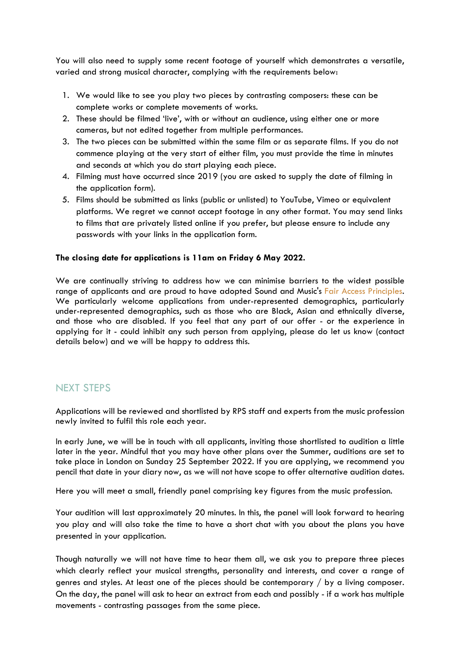You will also need to supply some recent footage of yourself which demonstrates a versatile, varied and strong musical character, complying with the requirements below:

- 1. We would like to see you play two pieces by contrasting composers: these can be complete works or complete movements of works.
- 2. These should be filmed 'live', with or without an audience, using either one or more cameras, but not edited together from multiple performances.
- 3. The two pieces can be submitted within the same film or as separate films. If you do not commence playing at the very start of either film, you must provide the time in minutes and seconds at which you do start playing each piece.
- 4. Filming must have occurred since 2019 (you are asked to supply the date of filming in the application form).
- 5. Films should be submitted as links (public or unlisted) to YouTube, Vimeo or equivalent platforms. We regret we cannot accept footage in any other format. You may send links to films that are privately listed online if you prefer, but please ensure to include any passwords with your links in the application form.

#### **The closing date for applications is 11am on Friday 6 May 2022.**

We are continually striving to address how we can minimise barriers to the widest possible range of applicants and are proud to have adopted Sound and Music's Fair Access [Principles.](http://soundandmusic.org/projects/sound-and-musics-fair-access-principles) We particularly welcome applications from under-represented demographics, particularly under-represented demographics, such as those who are Black, Asian and ethnically diverse, and those who are disabled. If you feel that any part of our offer - or the experience in applying for it - could inhibit any such person from applying, please do let us know (contact details below) and we will be happy to address this.

#### NEXT STEPS

Applications will be reviewed and shortlisted by RPS staff and experts from the music profession newly invited to fulfil this role each year.

In early June, we will be in touch with all applicants, inviting those shortlisted to audition a little later in the year. Mindful that you may have other plans over the Summer, auditions are set to take place in London on Sunday 25 September 2022. If you are applying, we recommend you pencil that date in your diary now, as we will not have scope to offer alternative audition dates.

Here you will meet a small, friendly panel comprising key figures from the music profession.

Your audition will last approximately 20 minutes. In this, the panel will look forward to hearing you play and will also take the time to have a short chat with you about the plans you have presented in your application.

Though naturally we will not have time to hear them all, we ask you to prepare three pieces which clearly reflect your musical strengths, personality and interests, and cover a range of genres and styles. At least one of the pieces should be contemporary / by a living composer. On the day, the panel will ask to hear an extract from each and possibly - if a work has multiple movements - contrasting passages from the same piece.